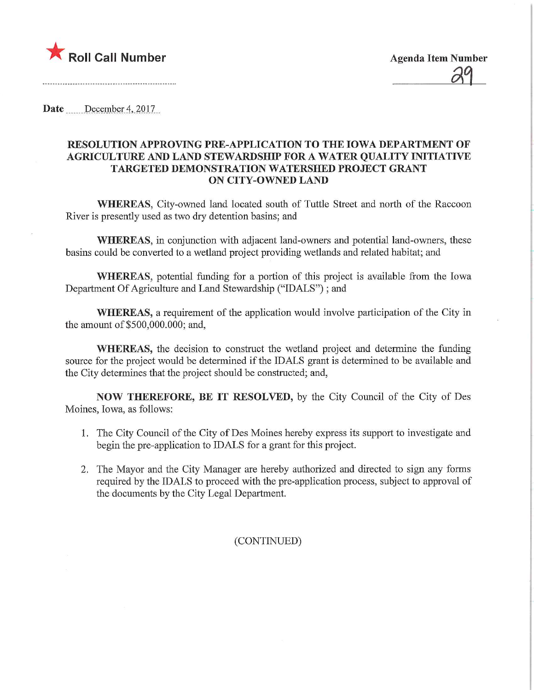

Date December 4, 2017

## RESOLUTION APPROVING PRE-APPLICATION TO THE IOWA DEPARTMENT OF AGRICULTURE AND LAND STEWARDSHIP FOR A WATER QUALITY INITIATIVE TARGETED DEMONSTRATION WATERSHED PROJECT GRANT ON CITY-OWNED LAND

WHEREAS, City-owned land located south of Tuttle Street and north of the Raccoon River is presently used as two dry detention basins; and

WHEREAS, in conjunction with adjacent land-owners and potential land-owners, these basins could be converted to a wetland project providing wetlands and related habitat; and

WHEREAS, potential funding for a portion of this project is available from the Iowa Department Of Agriculture and Land Stewardship ("IDALS"); and

WHEREAS, a requirement of the application would involve participation of the City in the amount of \$500,000.000; and,

WHEREAS, the decision to construct the wetland project and determine the funding source for the project would be determined if the IDALS grant is determined to be available and the City determines that the project should be constructed; and,

NOW THEREFORE, BE IT RESOLVED, by the City Council of the City of Des Moines, Iowa, as follows:

- 1. The City Council of the City of Des Moines hereby express its support to investigate and begin the pre-application to IDALS for a grant for this project.
- 2. The Mayor and the City Manager are hereby authorized and directed to sign any forms required by the IDALS to proceed with the pre-application process, subject to approval of the documents by the City Legal Department.

## (CONTINUED)